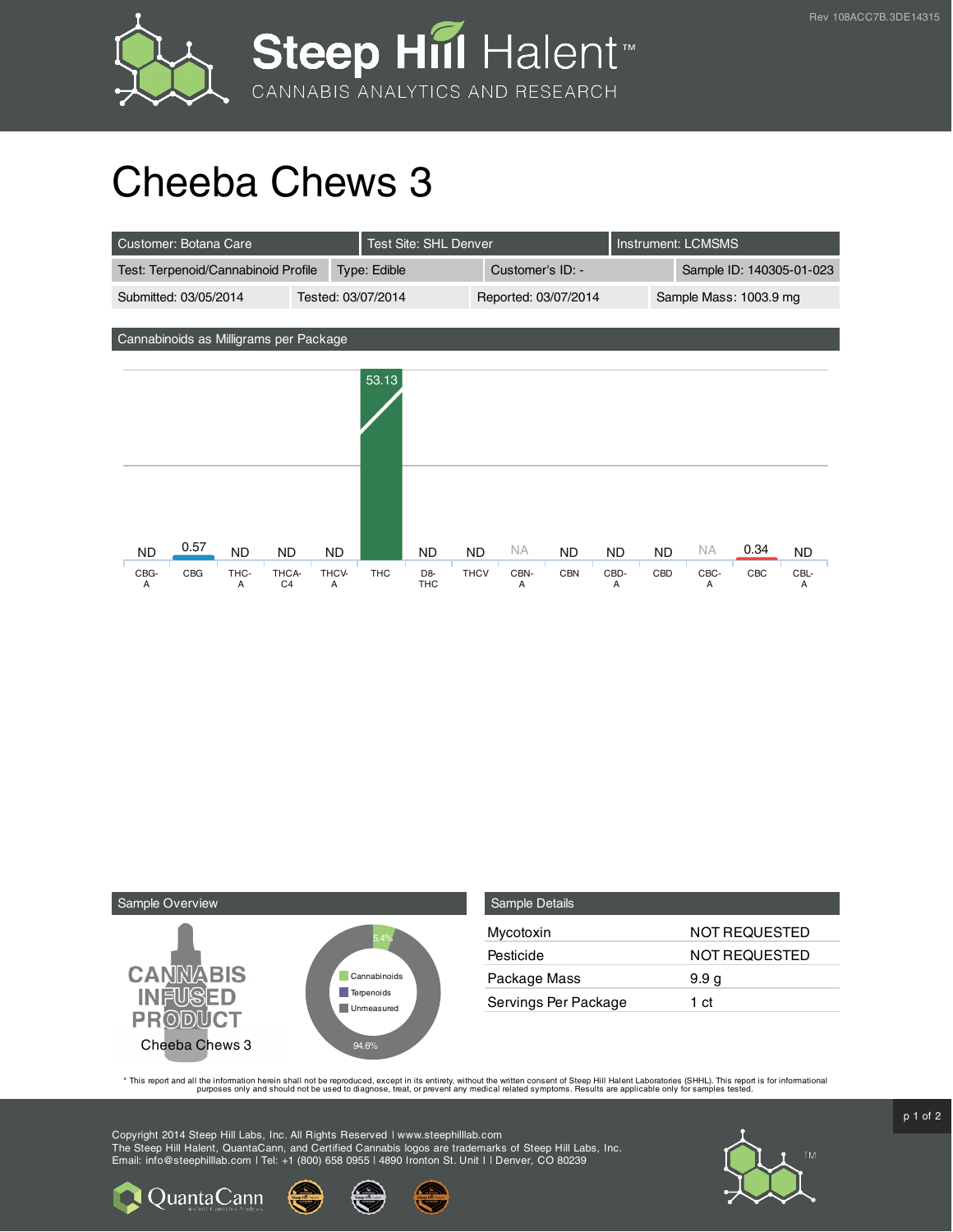



## Cheeba Chews 3

| Customer: Botana Care                                                  |                                            | <b>Test Site: SHL Denver</b>           |                        | Instrument: LCMSMS       |           |  |  |  |
|------------------------------------------------------------------------|--------------------------------------------|----------------------------------------|------------------------|--------------------------|-----------|--|--|--|
| Test: Terpenoid/Cannabinoid Profile                                    | Type: Edible                               | Customer's ID: -                       |                        | Sample ID: 140305-01-023 |           |  |  |  |
| Submitted: 03/05/2014                                                  | Tested: 03/07/2014                         | Reported: 03/07/2014                   |                        | Sample Mass: 1003.9 mg   |           |  |  |  |
|                                                                        |                                            |                                        |                        |                          |           |  |  |  |
| Cannabinoids as Milligrams per Package                                 |                                            |                                        |                        |                          |           |  |  |  |
|                                                                        |                                            |                                        |                        |                          |           |  |  |  |
|                                                                        | 53.13                                      |                                        |                        |                          |           |  |  |  |
|                                                                        |                                            |                                        |                        |                          |           |  |  |  |
|                                                                        |                                            |                                        |                        |                          |           |  |  |  |
|                                                                        |                                            |                                        |                        |                          |           |  |  |  |
|                                                                        |                                            |                                        |                        |                          |           |  |  |  |
|                                                                        |                                            |                                        |                        |                          |           |  |  |  |
|                                                                        |                                            |                                        |                        |                          |           |  |  |  |
| 0.57<br><b>ND</b><br><b>ND</b><br><b>ND</b><br><b>ND</b>               | <b>ND</b>                                  | NA.<br><b>ND</b><br><b>ND</b>          | <b>ND</b><br><b>ND</b> | 0.34<br><b>NA</b>        | <b>ND</b> |  |  |  |
| CBG<br>THC-<br>THCV-<br>CBG-<br>THCA-<br>C <sub>4</sub><br>Α<br>A<br>Α | <b>THC</b><br>D <sub>8</sub><br><b>THC</b> | <b>THCV</b><br>CBN-<br><b>CBN</b><br>Α | CBD-<br>CBD<br>A       | CBC-<br>CBC<br>A         | CBL-<br>Α |  |  |  |



| Sample Details       |                      |
|----------------------|----------------------|
| Mycotoxin            | <b>NOT REQUESTED</b> |
| Pesticide            | NOT REQUESTED        |
| Package Mass         | 9.9 <sub>g</sub>     |
| Servings Per Package | 1 ct                 |

This report and all the information herein shall not be reporduced, except in its entirety, without the written consent of Steep Hill Halent Laboratories (SHHL). This report is for informational all the instance, treat, or

Copyright 2014 Steep Hill Labs, Inc. All Rights Reserved | www.steephilllab.com The Steep Hill Halent, QuantaCann, and Certified Cannabis logos are trademarks of Steep Hill Labs, Inc. Email: info@steephilllab.com | Tel: +1 (800) 658 0955 | 4890 Ironton St. Unit I | Denver, CO 80239